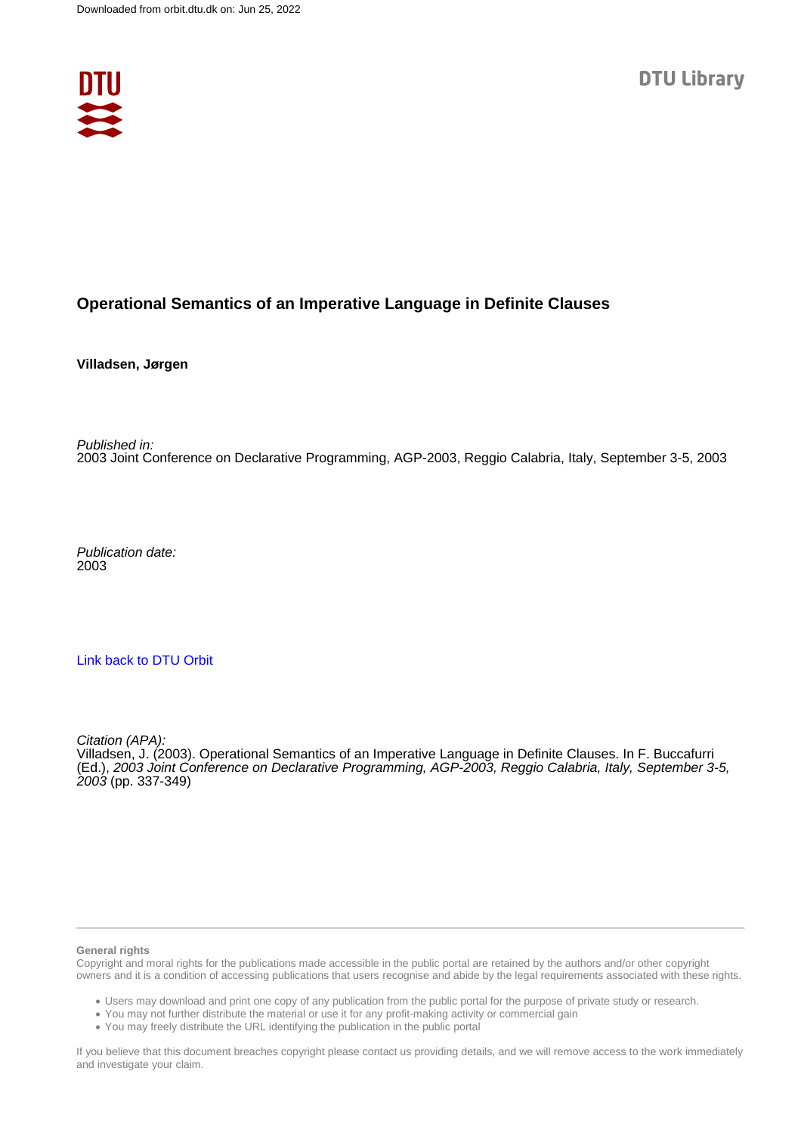

# **Operational Semantics of an Imperative Language in Definite Clauses**

**Villadsen, Jørgen**

Published in: 2003 Joint Conference on Declarative Programming, AGP-2003, Reggio Calabria, Italy, September 3-5, 2003

Publication date: 2003

## [Link back to DTU Orbit](https://orbit.dtu.dk/en/publications/ccc7ee24-c2ca-4d65-bc2d-f5748402aa3c)

Citation (APA):

Villadsen, J. (2003). Operational Semantics of an Imperative Language in Definite Clauses. In F. Buccafurri (Ed.), 2003 Joint Conference on Declarative Programming, AGP-2003, Reggio Calabria, Italy, September 3-5, 2003 (pp. 337-349)

#### **General rights**

Copyright and moral rights for the publications made accessible in the public portal are retained by the authors and/or other copyright owners and it is a condition of accessing publications that users recognise and abide by the legal requirements associated with these rights.

Users may download and print one copy of any publication from the public portal for the purpose of private study or research.

- You may not further distribute the material or use it for any profit-making activity or commercial gain
- You may freely distribute the URL identifying the publication in the public portal

If you believe that this document breaches copyright please contact us providing details, and we will remove access to the work immediately and investigate your claim.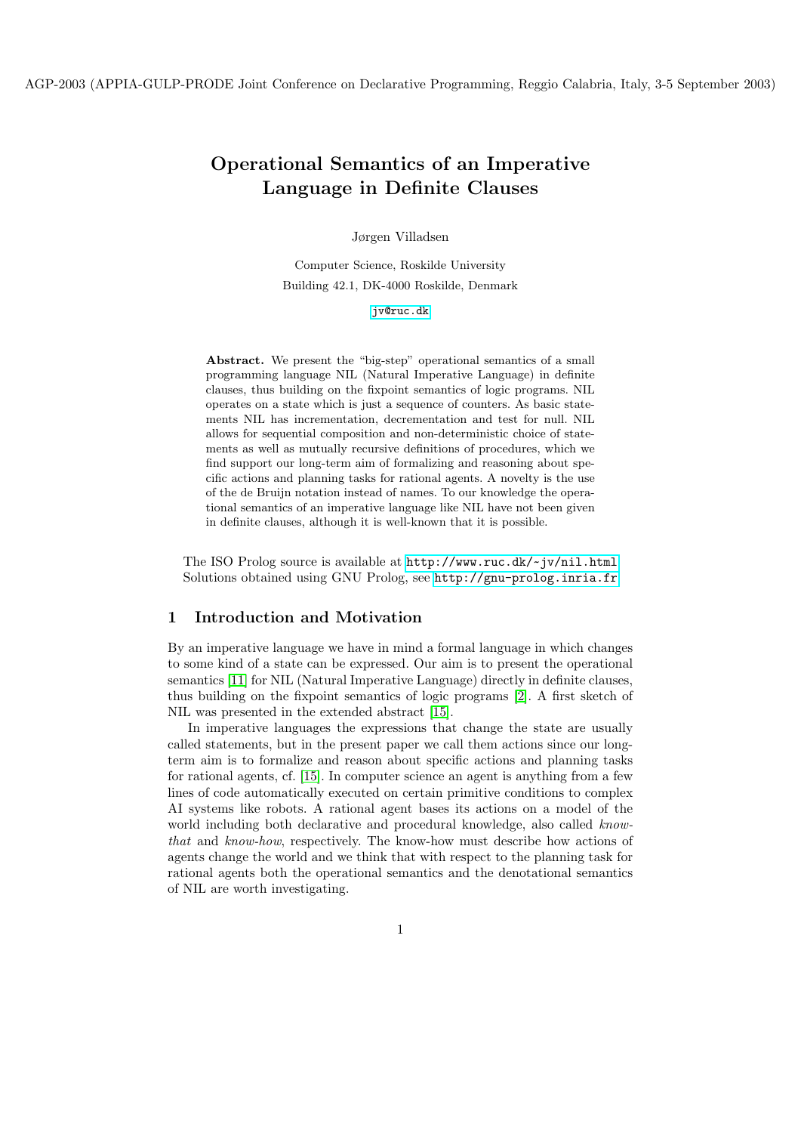# Operational Semantics of an Imperative Language in Definite Clauses

Jørgen Villadsen

Computer Science, Roskilde University Building 42.1, DK-4000 Roskilde, Denmark

[jv@ruc.dk](mailto:jv@ruc.dk)

Abstract. We present the "big-step" operational semantics of a small programming language NIL (Natural Imperative Language) in definite clauses, thus building on the fixpoint semantics of logic programs. NIL operates on a state which is just a sequence of counters. As basic statements NIL has incrementation, decrementation and test for null. NIL allows for sequential composition and non-deterministic choice of statements as well as mutually recursive definitions of procedures, which we find support our long-term aim of formalizing and reasoning about specific actions and planning tasks for rational agents. A novelty is the use of the de Bruijn notation instead of names. To our knowledge the operational semantics of an imperative language like NIL have not been given in definite clauses, although it is well-known that it is possible.

The ISO Prolog source is available at [http://www.ruc.dk/~](http://www.ruc.dk/~jv/nil.html) jv/nil.html Solutions obtained using GNU Prolog, see <http://gnu-prolog.inria.fr>

## 1 Introduction and Motivation

By an imperative language we have in mind a formal language in which changes to some kind of a state can be expressed. Our aim is to present the operational semantics [\[11\]](#page-13-0) for NIL (Natural Imperative Language) directly in definite clauses, thus building on the fixpoint semantics of logic programs [\[2\]](#page-13-1). A first sketch of NIL was presented in the extended abstract [\[15\]](#page-13-2).

In imperative languages the expressions that change the state are usually called statements, but in the present paper we call them actions since our longterm aim is to formalize and reason about specific actions and planning tasks for rational agents, cf. [\[15\]](#page-13-2). In computer science an agent is anything from a few lines of code automatically executed on certain primitive conditions to complex AI systems like robots. A rational agent bases its actions on a model of the world including both declarative and procedural knowledge, also called knowthat and know-how, respectively. The know-how must describe how actions of agents change the world and we think that with respect to the planning task for rational agents both the operational semantics and the denotational semantics of NIL are worth investigating.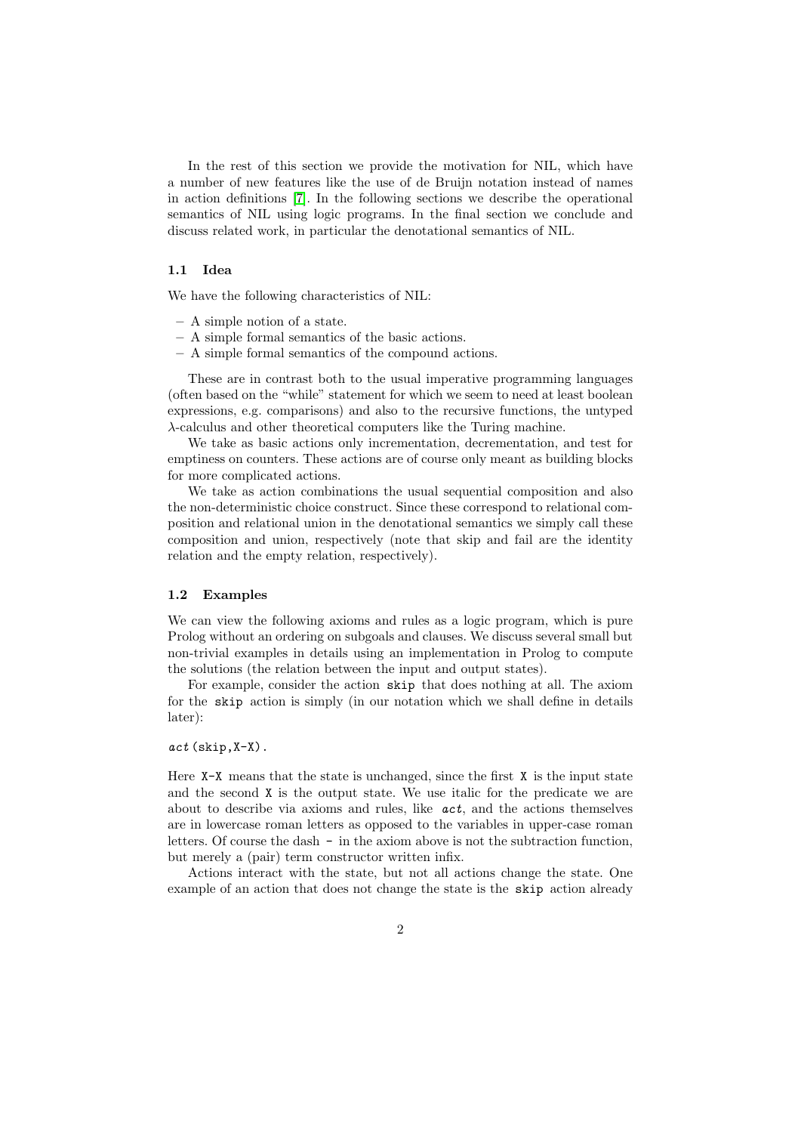In the rest of this section we provide the motivation for NIL, which have a number of new features like the use of de Bruijn notation instead of names in action definitions [\[7\]](#page-13-3). In the following sections we describe the operational semantics of NIL using logic programs. In the final section we conclude and discuss related work, in particular the denotational semantics of NIL.

#### 1.1 Idea

We have the following characteristics of NIL:

- A simple notion of a state.
- A simple formal semantics of the basic actions.
- A simple formal semantics of the compound actions.

These are in contrast both to the usual imperative programming languages (often based on the "while" statement for which we seem to need at least boolean expressions, e.g. comparisons) and also to the recursive functions, the untyped λ-calculus and other theoretical computers like the Turing machine.

We take as basic actions only incrementation, decrementation, and test for emptiness on counters. These actions are of course only meant as building blocks for more complicated actions.

We take as action combinations the usual sequential composition and also the non-deterministic choice construct. Since these correspond to relational composition and relational union in the denotational semantics we simply call these composition and union, respectively (note that skip and fail are the identity relation and the empty relation, respectively).

#### 1.2 Examples

We can view the following axioms and rules as a logic program, which is pure Prolog without an ordering on subgoals and clauses. We discuss several small but non-trivial examples in details using an implementation in Prolog to compute the solutions (the relation between the input and output states).

For example, consider the action skip that does nothing at all. The axiom for the skip action is simply (in our notation which we shall define in details later):

#### act (skip,X-X).

Here  $X-X$  means that the state is unchanged, since the first X is the input state and the second X is the output state. We use italic for the predicate we are about to describe via axioms and rules, like  $act$ , and the actions themselves are in lowercase roman letters as opposed to the variables in upper-case roman letters. Of course the dash - in the axiom above is not the subtraction function, but merely a (pair) term constructor written infix.

Actions interact with the state, but not all actions change the state. One example of an action that does not change the state is the skip action already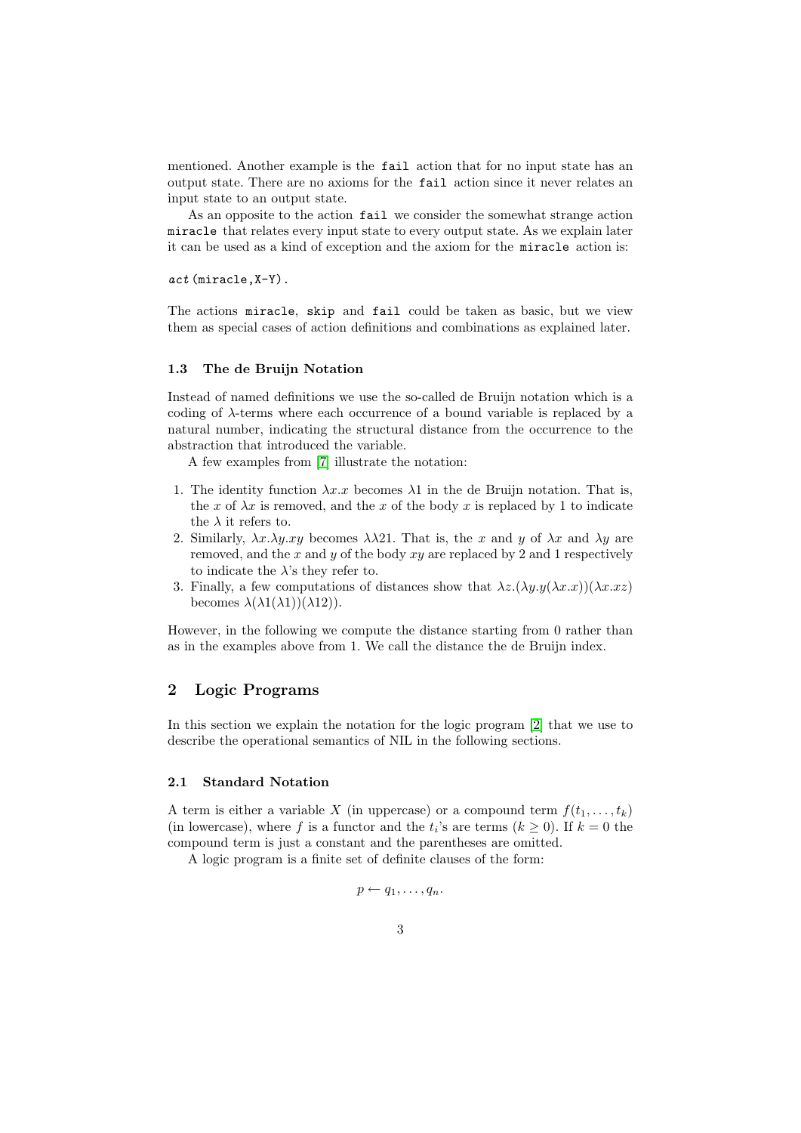mentioned. Another example is the fail action that for no input state has an output state. There are no axioms for the fail action since it never relates an input state to an output state.

As an opposite to the action fail we consider the somewhat strange action miracle that relates every input state to every output state. As we explain later it can be used as a kind of exception and the axiom for the miracle action is:

act (miracle,X-Y).

The actions miracle, skip and fail could be taken as basic, but we view them as special cases of action definitions and combinations as explained later.

#### 1.3 The de Bruijn Notation

Instead of named definitions we use the so-called de Bruijn notation which is a coding of  $\lambda$ -terms where each occurrence of a bound variable is replaced by a natural number, indicating the structural distance from the occurrence to the abstraction that introduced the variable.

A few examples from [\[7\]](#page-13-3) illustrate the notation:

- 1. The identity function  $\lambda x.x$  becomes  $\lambda 1$  in the de Bruijn notation. That is, the x of  $\lambda x$  is removed, and the x of the body x is replaced by 1 to indicate the  $\lambda$  it refers to.
- 2. Similarly,  $\lambda x.\lambda y.xy$  becomes  $\lambda \lambda 21$ . That is, the x and y of  $\lambda x$  and  $\lambda y$  are removed, and the x and y of the body  $xy$  are replaced by 2 and 1 respectively to indicate the  $\lambda$ 's they refer to.
- 3. Finally, a few computations of distances show that  $\lambda z.(\lambda y.y(\lambda x.x))(\lambda x.xz)$ becomes  $\lambda(\lambda 1(\lambda 1))(\lambda 12)$ .

However, in the following we compute the distance starting from 0 rather than as in the examples above from 1. We call the distance the de Bruijn index.

## 2 Logic Programs

In this section we explain the notation for the logic program [\[2\]](#page-13-1) that we use to describe the operational semantics of NIL in the following sections.

#### 2.1 Standard Notation

A term is either a variable X (in uppercase) or a compound term  $f(t_1, \ldots, t_k)$ (in lowercase), where f is a functor and the  $t_i$ 's are terms ( $k \geq 0$ ). If  $k = 0$  the compound term is just a constant and the parentheses are omitted.

A logic program is a finite set of definite clauses of the form:

$$
p \leftarrow q_1, \ldots, q_n.
$$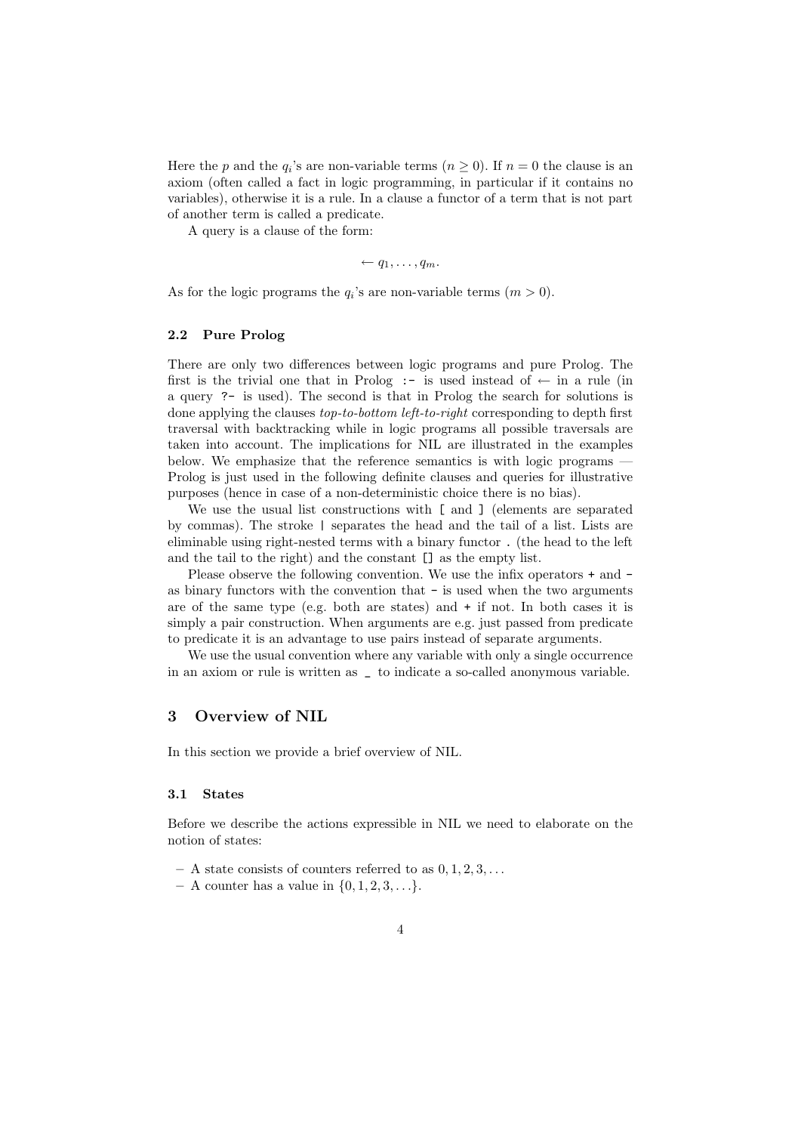Here the p and the  $q_i$ 's are non-variable terms  $(n \geq 0)$ . If  $n = 0$  the clause is an axiom (often called a fact in logic programming, in particular if it contains no variables), otherwise it is a rule. In a clause a functor of a term that is not part of another term is called a predicate.

A query is a clause of the form:

$$
\leftarrow q_1, \ldots, q_m.
$$

As for the logic programs the  $q_i$ 's are non-variable terms  $(m > 0)$ .

#### 2.2 Pure Prolog

There are only two differences between logic programs and pure Prolog. The first is the trivial one that in Prolog :- is used instead of  $\leftarrow$  in a rule (in a query ?- is used). The second is that in Prolog the search for solutions is done applying the clauses top-to-bottom left-to-right corresponding to depth first traversal with backtracking while in logic programs all possible traversals are taken into account. The implications for NIL are illustrated in the examples below. We emphasize that the reference semantics is with logic programs — Prolog is just used in the following definite clauses and queries for illustrative purposes (hence in case of a non-deterministic choice there is no bias).

We use the usual list constructions with [ and ] (elements are separated by commas). The stroke | separates the head and the tail of a list. Lists are eliminable using right-nested terms with a binary functor . (the head to the left and the tail to the right) and the constant [] as the empty list.

Please observe the following convention. We use the infix operators + and as binary functors with the convention that - is used when the two arguments are of the same type (e.g. both are states) and + if not. In both cases it is simply a pair construction. When arguments are e.g. just passed from predicate to predicate it is an advantage to use pairs instead of separate arguments.

We use the usual convention where any variable with only a single occurrence in an axiom or rule is written as \_ to indicate a so-called anonymous variable.

# 3 Overview of NIL

In this section we provide a brief overview of NIL.

### 3.1 States

Before we describe the actions expressible in NIL we need to elaborate on the notion of states:

- $-$  A state consists of counters referred to as  $0, 1, 2, 3, \ldots$
- $A$  counter has a value in  $\{0, 1, 2, 3, \ldots\}.$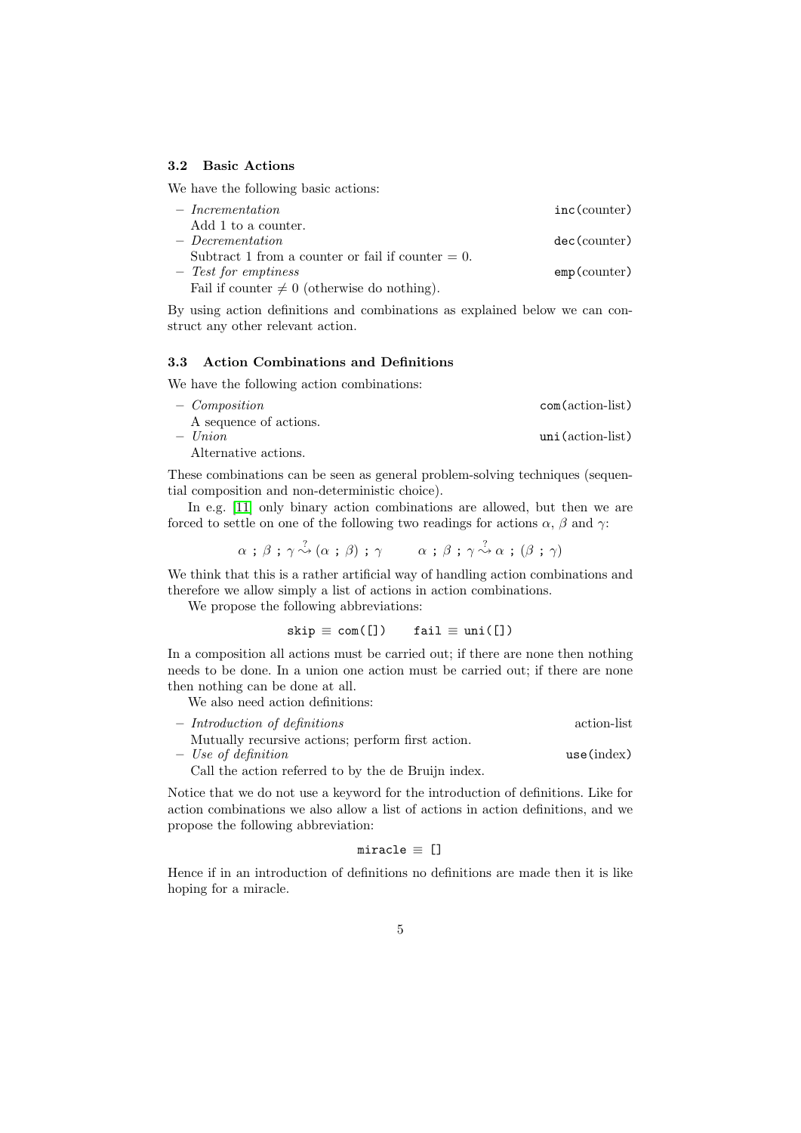#### 3.2 Basic Actions

We have the following basic actions:

| $-$ Incrementation                                   | $inc$ (counter) |
|------------------------------------------------------|-----------------|
| Add 1 to a counter.                                  |                 |
| $-$ Decrementation                                   | dec(counter)    |
| Subtract 1 from a counter or fail if counter $= 0$ . |                 |
| $-$ Test for emptiness                               | $emp$ (counter) |
| Fail if counter $\neq 0$ (otherwise do nothing).     |                 |

By using action definitions and combinations as explained below we can construct any other relevant action.

## 3.3 Action Combinations and Definitions

We have the following action combinations:

| - Composition          | $com(\text{action-list})$ |
|------------------------|---------------------------|
| A sequence of actions. |                           |
| $-$ Union              | $uni$ (action-list)       |
| Alternative actions.   |                           |

These combinations can be seen as general problem-solving techniques (sequential composition and non-deterministic choice).

In e.g. [\[11\]](#page-13-0) only binary action combinations are allowed, but then we are forced to settle on one of the following two readings for actions  $\alpha$ ,  $\beta$  and  $\gamma$ :

$$
\alpha \, ; \, \beta \, ; \, \gamma \stackrel{?}{\rightsquigarrow} (\alpha \, ; \, \beta) \, ; \, \gamma \qquad \alpha \, ; \, \beta \, ; \, \gamma \stackrel{?}{\rightsquigarrow} \alpha \, ; \, (\beta \, ; \, \gamma)
$$

We think that this is a rather artificial way of handling action combinations and therefore we allow simply a list of actions in action combinations.

We propose the following abbreviations:

$$
skip \equiv com(\texttt{[]}) \quad fail \equiv uni(\texttt{[]})
$$

In a composition all actions must be carried out; if there are none then nothing needs to be done. In a union one action must be carried out; if there are none then nothing can be done at all.

We also need action definitions:

| $-$ Introduction of definitions                     | action-list |
|-----------------------------------------------------|-------------|
| Mutually recursive actions; perform first action.   |             |
| $-$ Use of definition                               | use(index)  |
| Call the action referred to by the de Bruijn index. |             |

Notice that we do not use a keyword for the introduction of definitions. Like for action combinations we also allow a list of actions in action definitions, and we propose the following abbreviation:

$$
\mathtt{miracle} \equiv []
$$

Hence if in an introduction of definitions no definitions are made then it is like hoping for a miracle.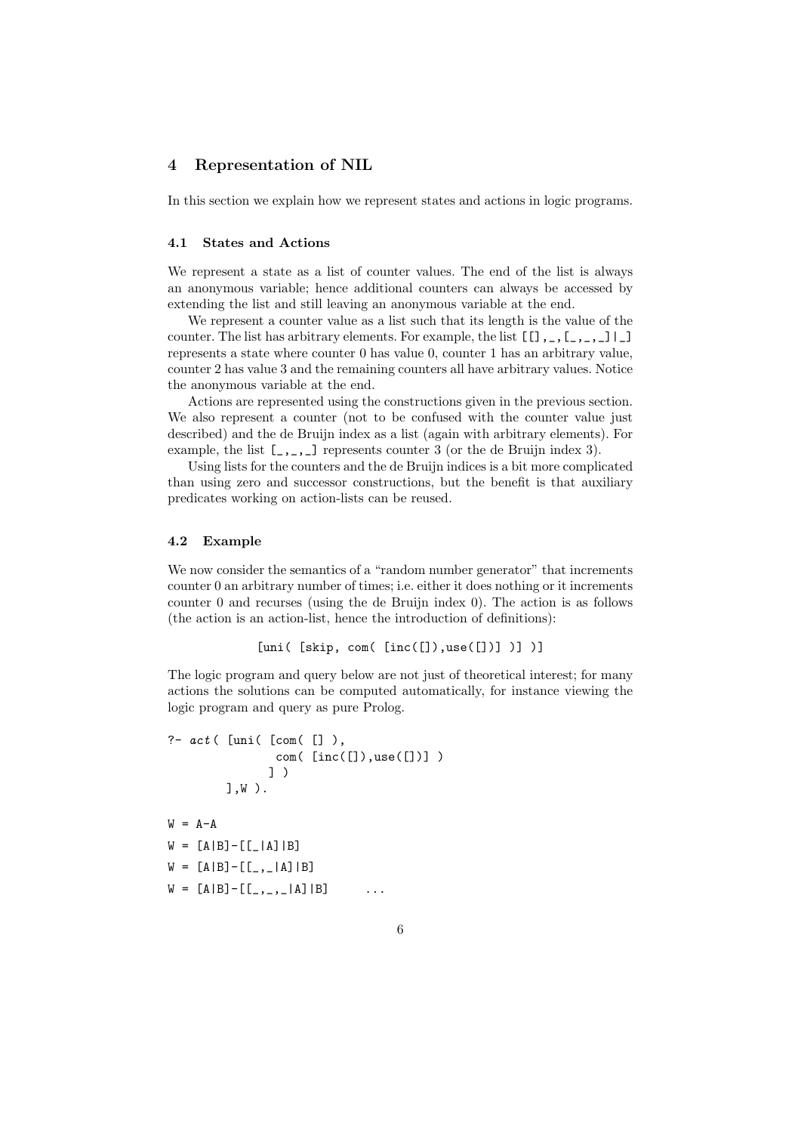## 4 Representation of NIL

In this section we explain how we represent states and actions in logic programs.

## 4.1 States and Actions

We represent a state as a list of counter values. The end of the list is always an anonymous variable; hence additional counters can always be accessed by extending the list and still leaving an anonymous variable at the end.

We represent a counter value as a list such that its length is the value of the counter. The list has arbitrary elements. For example, the list [[],\_,[\_,\_,\_]|\_] represents a state where counter 0 has value 0, counter 1 has an arbitrary value, counter 2 has value 3 and the remaining counters all have arbitrary values. Notice the anonymous variable at the end.

Actions are represented using the constructions given in the previous section. We also represent a counter (not to be confused with the counter value just described) and the de Bruijn index as a list (again with arbitrary elements). For example, the list  $[\,\_\,,\_\,,\_\,]\,$  represents counter 3 (or the de Bruijn index 3).

Using lists for the counters and the de Bruijn indices is a bit more complicated than using zero and successor constructions, but the benefit is that auxiliary predicates working on action-lists can be reused.

#### 4.2 Example

We now consider the semantics of a "random number generator" that increments counter 0 an arbitrary number of times; i.e. either it does nothing or it increments counter 0 and recurses (using the de Bruijn index 0). The action is as follows (the action is an action-list, hence the introduction of definitions):

```
[uni( [skip, com( [inc([]),use([])] )] )]
```
The logic program and query below are not just of theoretical interest; for many actions the solutions can be computed automatically, for instance viewing the logic program and query as pure Prolog.

?-  $act$  ( [uni( [com( [] ), com( [inc([]),use([])] ) ] ) ],W ).  $W = A - A$  $W = [A|B] - [[-|A]|B]$  $W = [A|B] - [[-,-]A]|B]$  $W = [A|B] - [[_,\_ ,\_ | A] | B]$  ...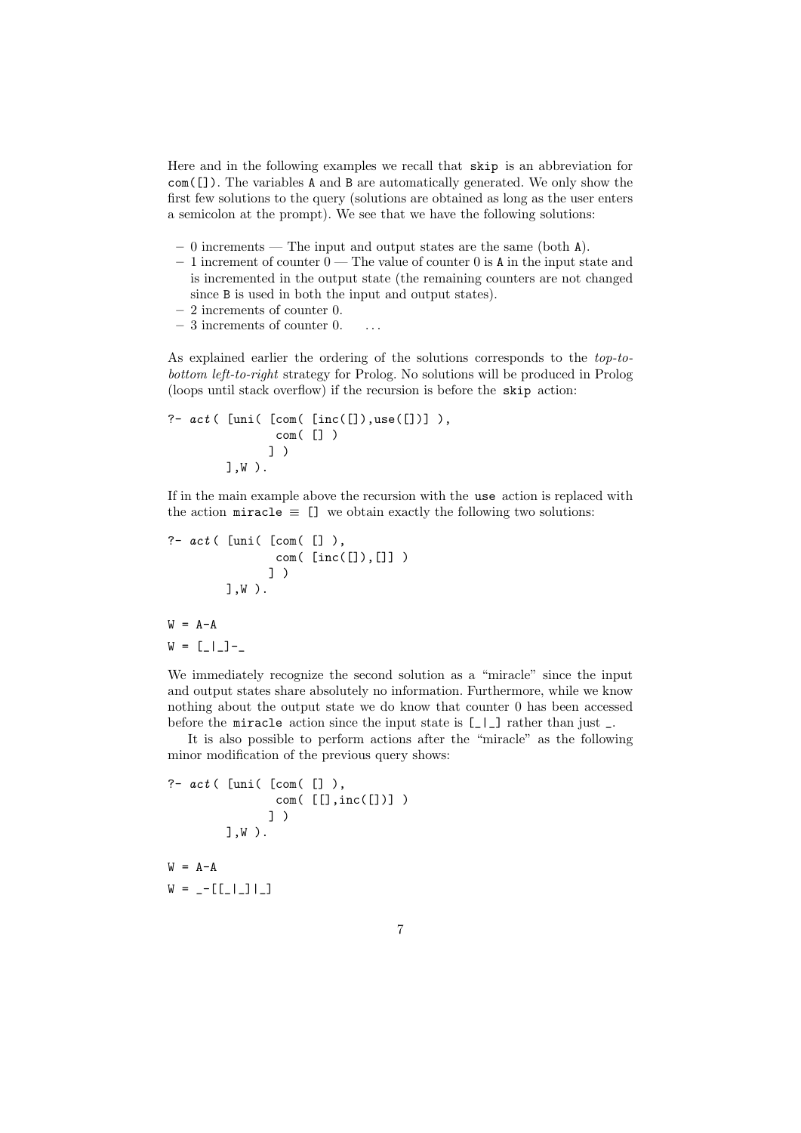Here and in the following examples we recall that skip is an abbreviation for com([]). The variables A and B are automatically generated. We only show the first few solutions to the query (solutions are obtained as long as the user enters a semicolon at the prompt). We see that we have the following solutions:

- 0 increments The input and output states are the same (both A).
- $-1$  increment of counter  $0$  The value of counter 0 is A in the input state and is incremented in the output state (the remaining counters are not changed since B is used in both the input and output states).
- 2 increments of counter 0.
- $-3$  increments of counter 0.  $\ldots$

As explained earlier the ordering of the solutions corresponds to the top-tobottom left-to-right strategy for Prolog. No solutions will be produced in Prolog (loops until stack overflow) if the recursion is before the skip action:

```
?- act( [uni( [com( [inc([]),use([])]),
               com( [] )
              ] )
        ],W ).
```
If in the main example above the recursion with the use action is replaced with the action miracle  $\equiv$  [] we obtain exactly the following two solutions:

?-  $act($  [uni(  $[com([])$ ), com( $\left[inc([], []] \right)$ ) ] ) ],W ).  $W = A - A$ 

$$
M = [T_1, T_2, T_3, T_4]
$$

We immediately recognize the second solution as a "miracle" since the input and output states share absolutely no information. Furthermore, while we know nothing about the output state we do know that counter 0 has been accessed before the miracle action since the input state is  $\lfloor -1 \rfloor$  rather than just  $\lfloor -1 \rfloor$ .

It is also possible to perform actions after the "miracle" as the following minor modification of the previous query shows:

? - 
$$
act( [uni( [com([])),  
com( [[], inc([]))])  
 ] )  
 ] ,W ).  
W = A-A
$$

 $W = -[[-1,11,1]$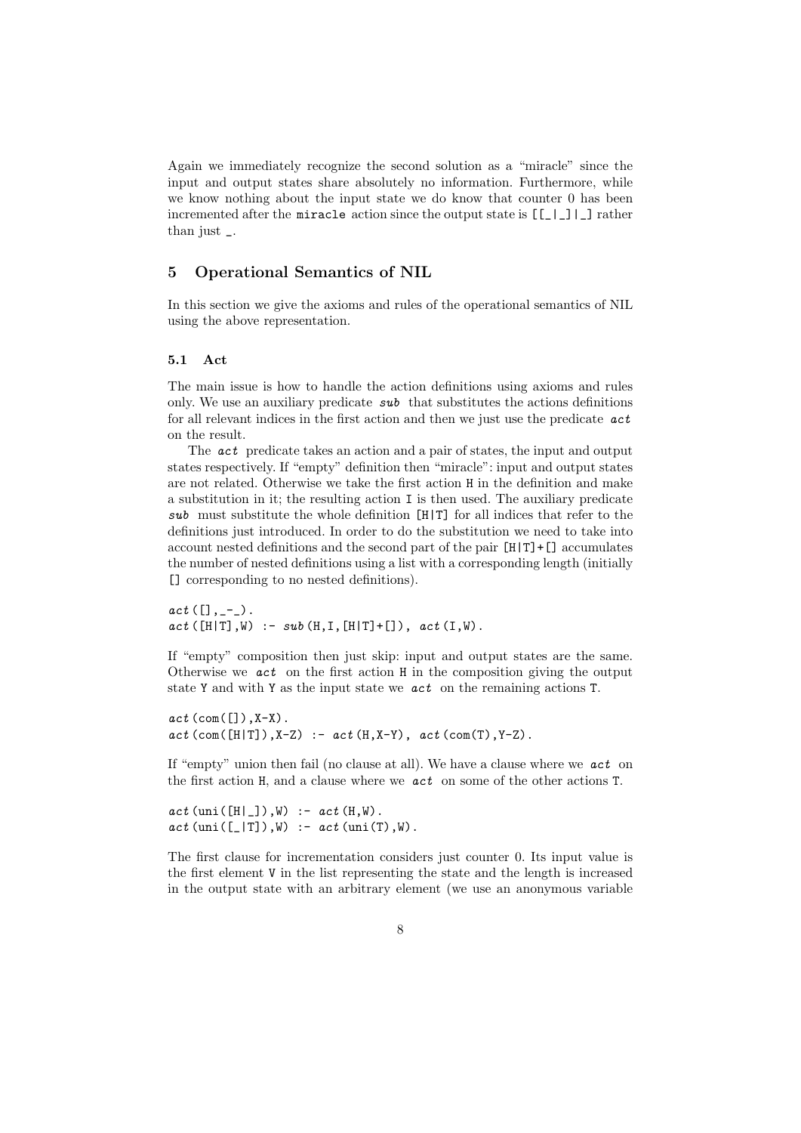Again we immediately recognize the second solution as a "miracle" since the input and output states share absolutely no information. Furthermore, while we know nothing about the input state we do know that counter 0 has been incremented after the miracle action since the output state is  $[[\_]$ ]  $]$  rather than just \_.

# 5 Operational Semantics of NIL

In this section we give the axioms and rules of the operational semantics of NIL using the above representation.

## 5.1 Act

The main issue is how to handle the action definitions using axioms and rules only. We use an auxiliary predicate  $sub$  that substitutes the actions definitions for all relevant indices in the first action and then we just use the predicate  $act$ on the result.

The act predicate takes an action and a pair of states, the input and output states respectively. If "empty" definition then "miracle": input and output states are not related. Otherwise we take the first action H in the definition and make a substitution in it; the resulting action I is then used. The auxiliary predicate sub must substitute the whole definition  $[H|T]$  for all indices that refer to the definitions just introduced. In order to do the substitution we need to take into account nested definitions and the second part of the pair  $[H|T]+[$ ] accumulates the number of nested definitions using a list with a corresponding length (initially [] corresponding to no nested definitions).

 $act ([], _{-})$ .  $act([H|T], W)$  :-  $sub(H,T,[H|T]+[])$ ,  $act(I,W)$ .

If "empty" composition then just skip: input and output states are the same. Otherwise we  $act$  on the first action H in the composition giving the output state Y and with Y as the input state we act on the remaining actions T.

 $act$  (com( $[]$ ), X-X).  $act (com([H|T]), X-Z) :- act (H, X-Y), act (com(T), Y-Z).$ 

If "empty" union then fail (no clause at all). We have a clause where we act on the first action H, and a clause where we act on some of the other actions T.

 $act$  (uni([H|\_]),W) :-  $act$  (H,W).  $act$  (uni([\_|T]),W) :-  $act$  (uni(T),W).

The first clause for incrementation considers just counter 0. Its input value is the first element V in the list representing the state and the length is increased in the output state with an arbitrary element (we use an anonymous variable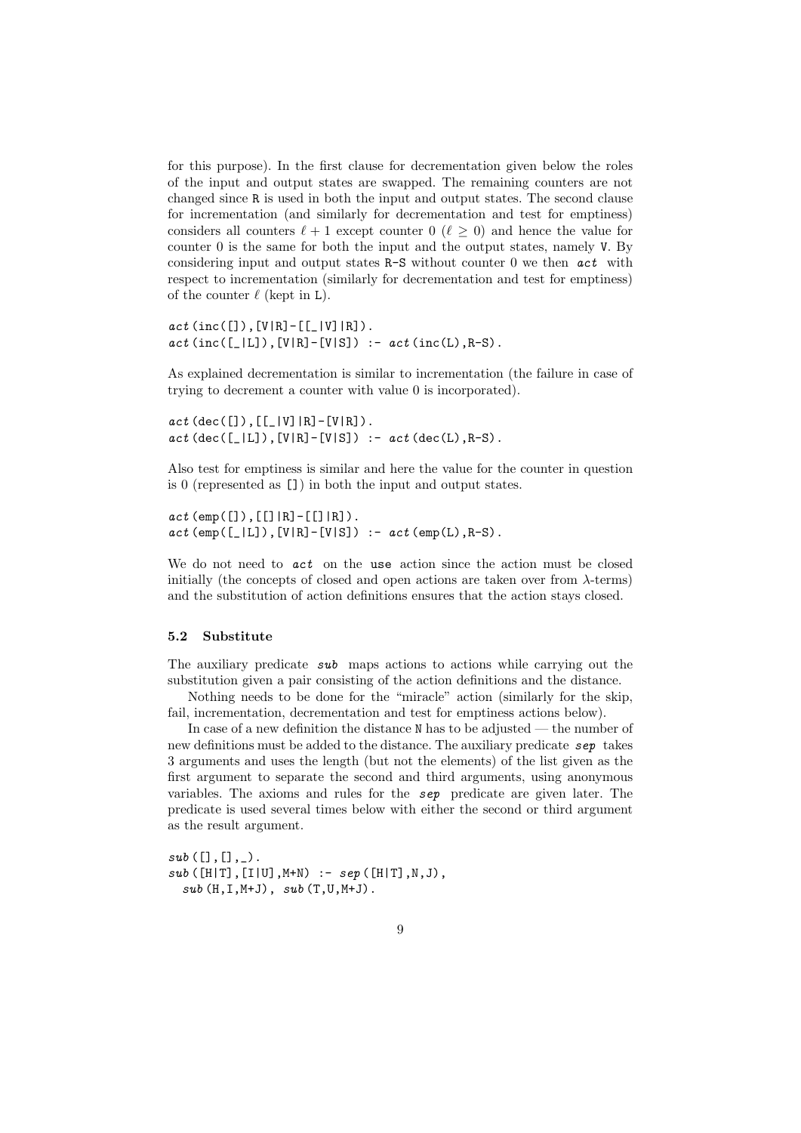for this purpose). In the first clause for decrementation given below the roles of the input and output states are swapped. The remaining counters are not changed since R is used in both the input and output states. The second clause for incrementation (and similarly for decrementation and test for emptiness) considers all counters  $\ell + 1$  except counter  $0$  ( $\ell \geq 0$ ) and hence the value for counter 0 is the same for both the input and the output states, namely V. By considering input and output states R-S without counter 0 we then act with respect to incrementation (similarly for decrementation and test for emptiness) of the counter  $\ell$  (kept in L).

```
act (inc([]), [V|R] - [[|V]|R]).act (inc([\_|L]), [V|R] - [V|S]) :- act (inc(L), R-S).
```
As explained decrementation is similar to incrementation (the failure in case of trying to decrement a counter with value 0 is incorporated).

 $act (dec([]) , [[|V] | R] - [V | R] ).$  $act (dec([\_|L]), [V|R] - [V|S])$  :-  $act (dec(L), R-S)$ .

Also test for emptiness is similar and here the value for the counter in question is 0 (represented as []) in both the input and output states.

```
act (emp([]), [[]|R]-[[]|R]).
act(emp([-|L]),[V|R]-[V|S]) :- act(emp(L),R-S).
```
We do not need to **act** on the use action since the action must be closed initially (the concepts of closed and open actions are taken over from  $\lambda$ -terms) and the substitution of action definitions ensures that the action stays closed.

#### 5.2 Substitute

The auxiliary predicate sub maps actions to actions while carrying out the substitution given a pair consisting of the action definitions and the distance.

Nothing needs to be done for the "miracle" action (similarly for the skip, fail, incrementation, decrementation and test for emptiness actions below).

In case of a new definition the distance N has to be adjusted — the number of new definitions must be added to the distance. The auxiliary predicate sep takes 3 arguments and uses the length (but not the elements) of the list given as the first argument to separate the second and third arguments, using anonymous variables. The axioms and rules for the sep predicate are given later. The predicate is used several times below with either the second or third argument as the result argument.

 $sub([], [], \ldots)$ .  $sub([H|T], [I|U], M+N)$  :-  $sep([H|T], N, J)$ ,  $\textit{sub}\ (\texttt{H,I}, \texttt{M+J})$  ,  $\ \textit{sub}\ (\texttt{T,U,M+J})$  .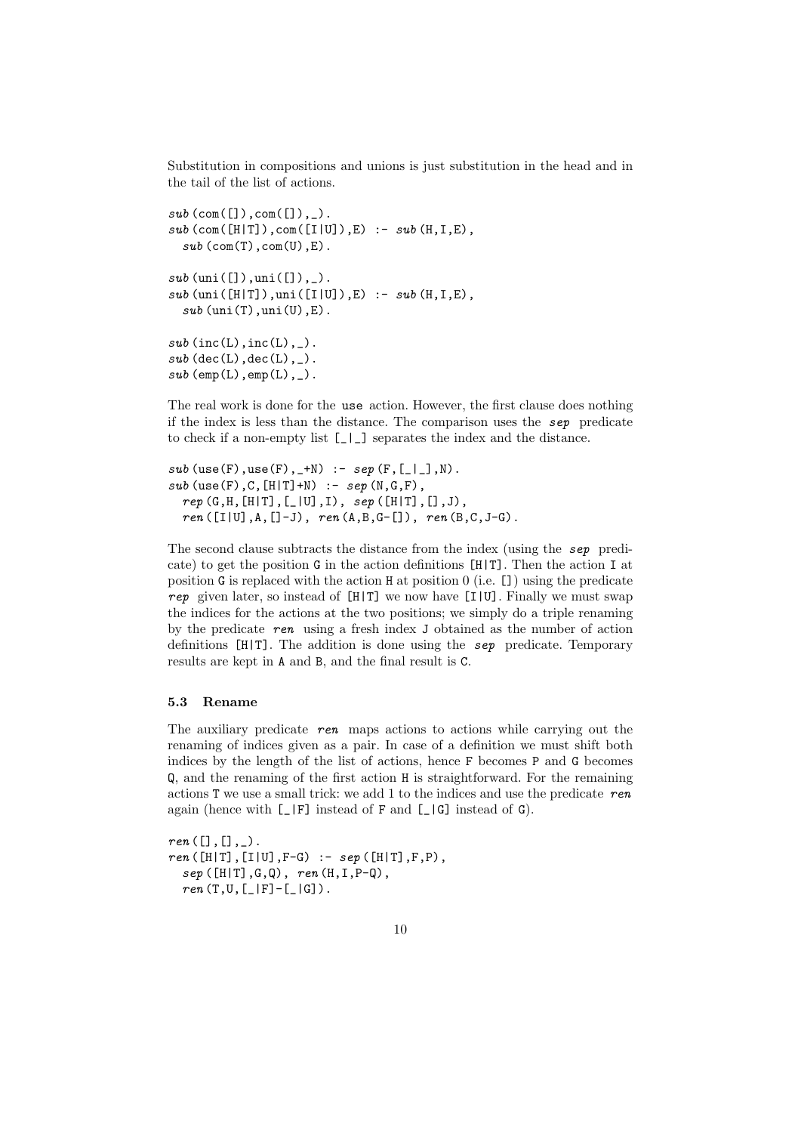Substitution in compositions and unions is just substitution in the head and in the tail of the list of actions.

```
sub (com([]), com([]), ]).
sub (com([H|T]),com([I|U]),E) :- sub (H,I,E),
  sub (com(T),com(U),E).
sub (uni([]), uni([]), _).
sub (uni([H|T]),uni([I|U]),E) :- sub (H,I,E),
  sub (uni(T),uni(U),E).
sub (inc(L),inc(L),_).
sub (dec(L),dec(L),_).
sub (emp(L),emp(L),_).
```
The real work is done for the use action. However, the first clause does nothing if the index is less than the distance. The comparison uses the sep predicate to check if a non-empty list [\_|\_] separates the index and the distance.

```
sub (use(F),use(F),_+N) :- sep (F,[_|_],N).
sub (use(F), C, [H|T]+N) :- sep (N, G, F),
  rep(G, H, [H|T], [-|U], I), sep([H|T], [], J),ren([I|U], A, []-J), ren(A, B, G-[]), ren(B, C, J-G).
```
The second clause subtracts the distance from the index (using the sep predicate) to get the position G in the action definitions [H|T]. Then the action I at position G is replaced with the action H at position 0 (i.e. []) using the predicate rep given later, so instead of  $[H|T]$  we now have  $[I|U]$ . Finally we must swap the indices for the actions at the two positions; we simply do a triple renaming by the predicate ren using a fresh index J obtained as the number of action definitions  $[H|T]$ . The addition is done using the sep predicate. Temporary results are kept in A and B, and the final result is C.

#### 5.3 Rename

The auxiliary predicate  $\tau$ en maps actions to actions while carrying out the renaming of indices given as a pair. In case of a definition we must shift both indices by the length of the list of actions, hence F becomes P and G becomes Q, and the renaming of the first action H is straightforward. For the remaining actions  $T$  we use a small trick: we add 1 to the indices and use the predicate ren again (hence with  $\lbrack \_ \ \rbrack$  F] instead of F and  $\lbrack \_ \ \rbrack$  instead of G).

 $ren([], [],...).$  $ren([H|T], [I|U], F-G) :- sep([H|T], F, P),$  $sep([H|T], G, Q), ren(H, I, P-Q),$  $ren(T,U,[\_|F]-[\_|G])$ .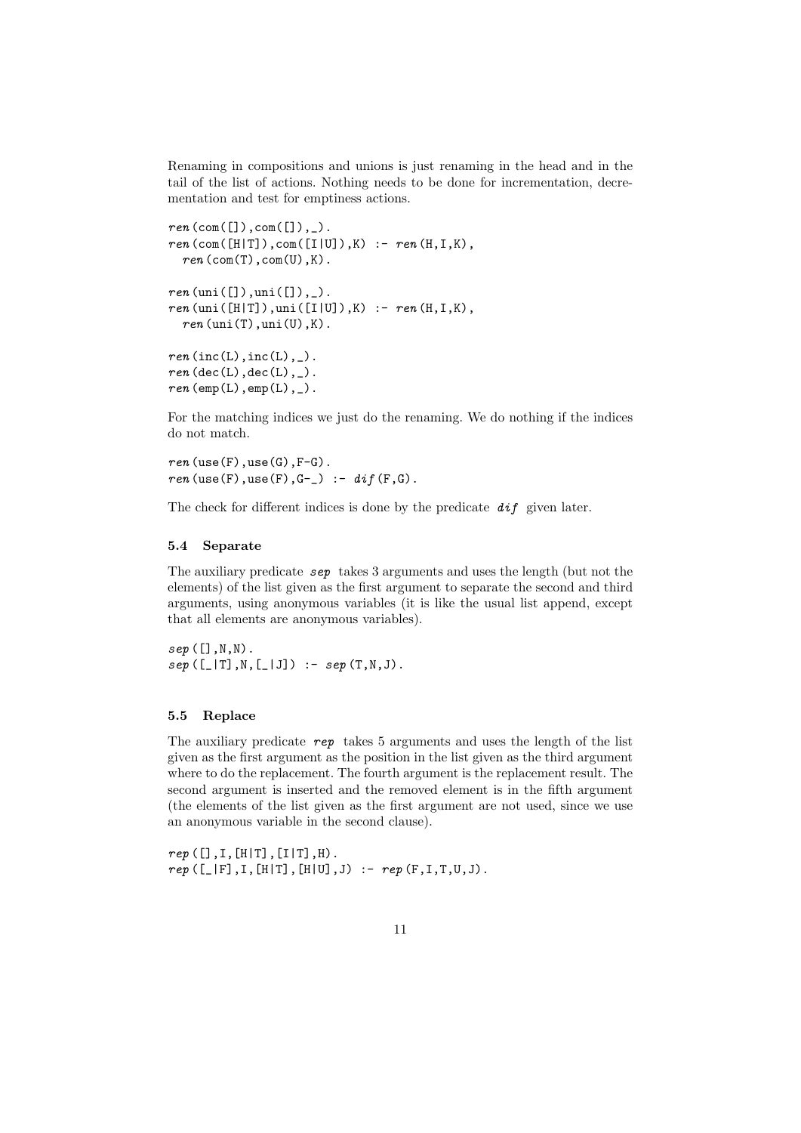Renaming in compositions and unions is just renaming in the head and in the tail of the list of actions. Nothing needs to be done for incrementation, decrementation and test for emptiness actions.

```
ren (com([]), com([]), \rangle.
ren (com([H|T]),com([I|U]), K) :- ren(H, I, K),ren (com(T),com(U),K).
ren (uni([]), uni([]), _).
ren(uni([H|T]),uni([I|U]),K) :- ren(H,I,K),
  ren (uni(T), uni(U), K).
ren(inc(L),inc(L),_).
ren (dec(L),dec(L),_).
ren \text{ (emp(L), emp(L), _}).
```
For the matching indices we just do the renaming. We do nothing if the indices do not match.

 $ren$ (use(F),use(G), $F-G$ ).  $ren$ (use(F),use(F),G-\_) :-  $dif(F,G)$ .

The check for different indices is done by the predicate  $dif$  given later.

#### 5.4 Separate

The auxiliary predicate sep takes 3 arguments and uses the length (but not the elements) of the list given as the first argument to separate the second and third arguments, using anonymous variables (it is like the usual list append, except that all elements are anonymous variables).

 $sep([],\mathbb{N},\mathbb{N})$ .  $sep([\_|T], N, [\_|J]) :- sep(T, N, J).$ 

#### 5.5 Replace

The auxiliary predicate  $rep$  takes 5 arguments and uses the length of the list given as the first argument as the position in the list given as the third argument where to do the replacement. The fourth argument is the replacement result. The second argument is inserted and the removed element is in the fifth argument (the elements of the list given as the first argument are not used, since we use an anonymous variable in the second clause).

 $rep([], I, [H|T], [I|T], H)$ .  $rep ([\_|F], I, [H|T], [H|U], J) :- rep (F, I, T, U, J).$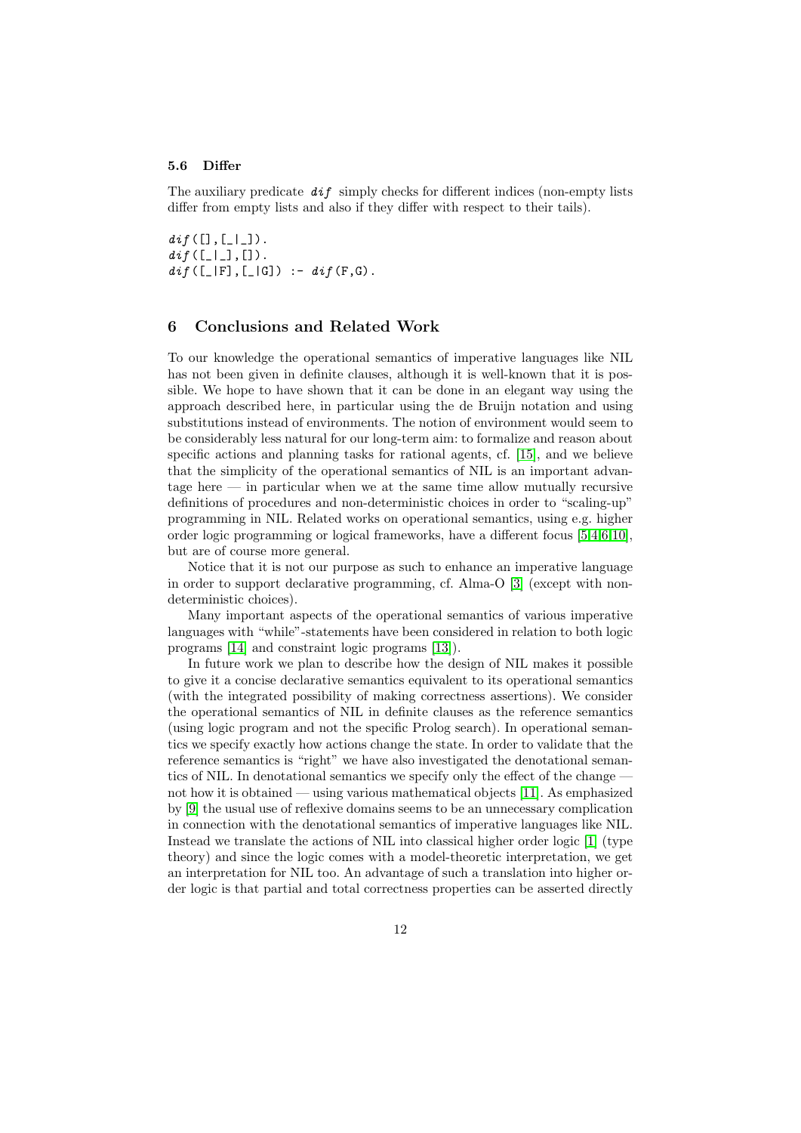#### 5.6 Differ

The auxiliary predicate  $di\dot{f}$  simply checks for different indices (non-empty lists differ from empty lists and also if they differ with respect to their tails).

 $di\,f([], [\_|\_])$ .  $di\,$ f $([$ [ $]$ ], $[$ ]).  $di\{f([[]|F],[]|G]) : = di\{F,G\}.$ 

## 6 Conclusions and Related Work

To our knowledge the operational semantics of imperative languages like NIL has not been given in definite clauses, although it is well-known that it is possible. We hope to have shown that it can be done in an elegant way using the approach described here, in particular using the de Bruijn notation and using substitutions instead of environments. The notion of environment would seem to be considerably less natural for our long-term aim: to formalize and reason about specific actions and planning tasks for rational agents, cf. [\[15\]](#page-13-2), and we believe that the simplicity of the operational semantics of NIL is an important advantage here — in particular when we at the same time allow mutually recursive definitions of procedures and non-deterministic choices in order to "scaling-up" programming in NIL. Related works on operational semantics, using e.g. higher order logic programming or logical frameworks, have a different focus [\[5,](#page-13-4)[4,](#page-13-5)[6](#page-13-6)[,10\]](#page-13-7), but are of course more general.

Notice that it is not our purpose as such to enhance an imperative language in order to support declarative programming, cf. Alma-O [\[3\]](#page-13-8) (except with nondeterministic choices).

Many important aspects of the operational semantics of various imperative languages with "while"-statements have been considered in relation to both logic programs [\[14\]](#page-13-9) and constraint logic programs [\[13\]](#page-13-10)).

In future work we plan to describe how the design of NIL makes it possible to give it a concise declarative semantics equivalent to its operational semantics (with the integrated possibility of making correctness assertions). We consider the operational semantics of NIL in definite clauses as the reference semantics (using logic program and not the specific Prolog search). In operational semantics we specify exactly how actions change the state. In order to validate that the reference semantics is "right" we have also investigated the denotational semantics of NIL. In denotational semantics we specify only the effect of the change not how it is obtained — using various mathematical objects [\[11\]](#page-13-0). As emphasized by [\[9\]](#page-13-11) the usual use of reflexive domains seems to be an unnecessary complication in connection with the denotational semantics of imperative languages like NIL. Instead we translate the actions of NIL into classical higher order logic [\[1\]](#page-13-12) (type theory) and since the logic comes with a model-theoretic interpretation, we get an interpretation for NIL too. An advantage of such a translation into higher order logic is that partial and total correctness properties can be asserted directly